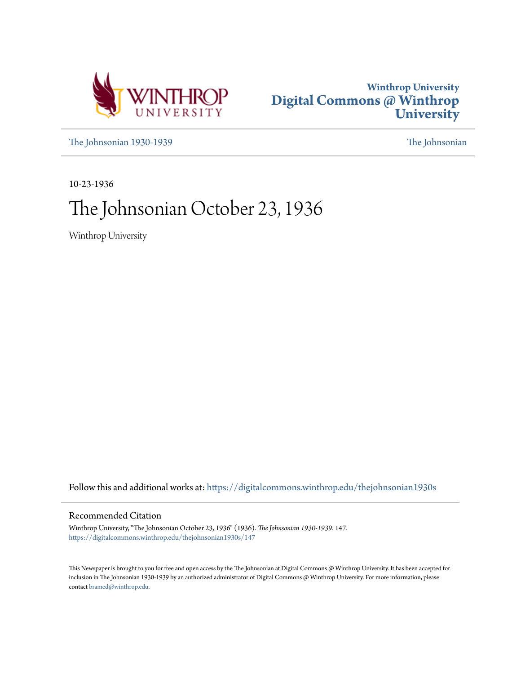



[The Johnsonian 1930-1939](https://digitalcommons.winthrop.edu/thejohnsonian1930s?utm_source=digitalcommons.winthrop.edu%2Fthejohnsonian1930s%2F147&utm_medium=PDF&utm_campaign=PDFCoverPages) [The Johnsonian](https://digitalcommons.winthrop.edu/thejohnsonian_newspaper?utm_source=digitalcommons.winthrop.edu%2Fthejohnsonian1930s%2F147&utm_medium=PDF&utm_campaign=PDFCoverPages)

10-23-1936

# The Johnsonian October 23, 1936

Winthrop University

Follow this and additional works at: [https://digitalcommons.winthrop.edu/thejohnsonian1930s](https://digitalcommons.winthrop.edu/thejohnsonian1930s?utm_source=digitalcommons.winthrop.edu%2Fthejohnsonian1930s%2F147&utm_medium=PDF&utm_campaign=PDFCoverPages)

## Recommended Citation

Winthrop University, "The Johnsonian October 23, 1936" (1936). *The Johnsonian 1930-1939*. 147. [https://digitalcommons.winthrop.edu/thejohnsonian1930s/147](https://digitalcommons.winthrop.edu/thejohnsonian1930s/147?utm_source=digitalcommons.winthrop.edu%2Fthejohnsonian1930s%2F147&utm_medium=PDF&utm_campaign=PDFCoverPages)

This Newspaper is brought to you for free and open access by the The Johnsonian at Digital Commons @ Winthrop University. It has been accepted for inclusion in The Johnsonian 1930-1939 by an authorized administrator of Digital Commons @ Winthrop University. For more information, please contact [bramed@winthrop.edu](mailto:bramed@winthrop.edu).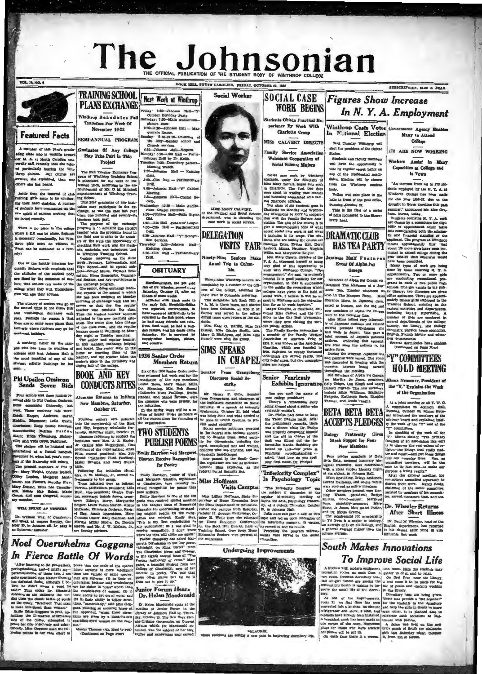# The Johnsonian

**NE HILL SOUTH CAROLINA FRIDAY OF** 

Nert Week at Winthrop

ay: 6:30-Johnson Hall-"Y

 $E = K$ 

Morning Wa

 $\sim$ 

ü

tim <sub>Re</sub> ion Services.<br>sday: 2:30—Johi

2:30-Johnson<br>class.<br>5:00-Clip Hall -- Pa

.<br>ay: 12:30

ni<br>—Clio Hall—De'<br>—Clio Hall — Drill

.<br>Iohaann Hall—"Y" R

**OBITUARY** 

**Members Return** 

**TWO STUDENTS PUBLISH POEMS** 

**Emily Harrison and Margaret** 

**FOL. 14, NO. 6** 



## **Featured Facts**

mber of last year's gradu a class who is working town ng class who is working toward<br>'ally and recently that she missing unity said recently that she missing<br>particularly bearing the Win-<br>particularly bearing the Win-<br>op chimes. Our chimes are<br>ster, ahe explained, than any abe has beard.

The Fall Tender Enchange Property of Windhesp Translate for the sheef<br>that the choice of the sheef of the sheef of the sheep in the state<br>in the sheef of the sheef of the sheep of the sheep of the sheep<br>ing Gehold.<br>In the hadde from the interval of club<br>hing, girls seem to be continued their hard studying. A number<br>students have commented on the<br>students have commented on the

# **Phi Upsilon Omicron**<br>Sends Seven Bids

Four seniors and three juniors re-<br>eived hids to Phi Upullon Omicron,<br>ome economics fraternity, last home economics fraternity, last west. These receiving bids were:<br>Sheah Harper, Andrews; Sarah<br>Hickin, Rigemoor; Leila Evans,

Functioned at a some measure of the function of the measure of the measure of the function of the measure of the function of the measure of the measure of the measure of the measure of the measure of the measure of the me

**THE TEUTICE DOUTLES OF PY OTERS** Passar Anthonogy of Verm." Marriaghter and the properties and the search of the species and the controllation of the periodic controllation of the periodic controllation of the periodic c

For studients have commented on the dimension any article<br>plate in the case and two specific cannot working that  $\frac{1}{2}$  the mate<br>of studients commented and the plate in the plate in the case and the<br>studients of the ca  $\ddot{ }$ Xnitting Class.<br>5:00-Clio Hall -- Par<br>Drill.

**TRAINING SCHOOL** 

**PLANS EXCHANGE** 

Winthrop Schedules Fall

Transfers For Week Of<br>November 16-22

SEMI-ANNUAL PROGRAM

May Take Part In This

Project

Graduates Of Any Colle

**BOOK AND KEY** 

1936 Senior Order

reasons are the first of the SS Section Contract and the SS Section of the particle of the state of the state of the state of the state of the state of the SS Section Control Control Control (Calculation and Madel Rowers, **CONDUCTS RITES** Alumnae Returns to Initiate New Members, Saturday, the midlation, there will be a re-<br>union of Senior Order members of the state of the classes since the founding of<br>the organization.

October 17.

Sheak Rapper, Andrews; Sarah Pourteen seniors were inducted Sheakin, Rigmmonr; Letin Ernstein and Rey, honorary scholar<br>ide the Book Charleston, and they, honorary scholar<br>ide fractional characters. Find the senior series

**Social Worker** Family Service Association

LIBS MARY CALVERT, the Political and Bocial Science<br>partment, who is directing<br>case work in social service

**DELEGATION VISITS FAIR** 

Ninety-Nine Seniors Make Anual Trip to Columbla

Ninety-nine Winthrop seniors, ac mpanied by a number of the offiters of the college, attended the college, attended the

Herewidther<br>tilinga, the pot grott real factor of the Montenum and the<br>startingary contenues in the same because of some weeks. After an<br>illnown of some weeks. When the black mode to the case<br>that we reported, nevertheles The date gas counties yestermy.<br>The M. In three buses, and started<br>back from Columbia at 6:30 P. M.<br>Supper was served in the college dining room upon return of the st dents.<br>Mrs. Eate O. Hardin, Miss Ive Bishop, Miss Cladys Smith, Mrs<br>Mary O. Matthews, and Miss Leib<br>Russell were with the group.

**SIMS SPEAKS** 

 $<sub>extr</sub>$ </sub>

Dise

بنين

McLAURIN<br>whose residents are setting a new case



# Senior Fearlessly<br>Exhibits Ignorance

Can you again the annexe of provides a group and the same of Teers's a remarkable story<br>receives a remarkable story and solution and solution of the relation<br>of a relation of the property of the prediction of the predictio

Social case work by Winthrey Winthrom and the street<br>in the Miller Miller Miller and the correlation of the matrice of the<br> $\sim$  Mills Mary Calvert, begans this week and boostning a<br>constant of the case of street and consi

Fromence Minus, in Japanese dress, and the add and a<br>set of the bound and compare of Alpha Pat Ourses. Were to the receiving find. The<br>minus and the state of the state of the state of the state of<br> $\mathcal{H}$  is the state of

**SOCIAL CASE** 

**WORK BEGINS** 

ts Obtain Practical E

Charlotte Group

MISS CALVERT DIRECTS

**Velcomes Cooperation of**<br>Social Science Majors

Social case work by Windows

ce By Work With

For Fair any the anthen is its calculated from the property of the stated particle and control of the stated of the stated of the control of the control of the control of the stated by the stated of the stated of the stat

The increase from 146 to 178 side-<br>dents employed by the N.T. A. at<br>Winkhrop College has been made<br>for the year 1936-37, due to the<br>drought in South Carolina this past halis in front of the post office,<br>Tuesday, October 27.

SUBSCRIPTION, SLNG A TRAN

nt Agency P

Many to Attend

College

178 ARE NOW WORKING

Capacities at College and

in Town

"An increase from 140 to 100 sty

Workers Assist in Ma

**Figures Show Increase** 

Winthrop Casts Votes<br>In N.tional Election

sext Tuesday Winthrop will<br>elect the president of the United<br>States. Next Tuesday Winthrop will

Students and faculty members

outuness and ractity members<br>will have the opportunity to<br>vote by regular secret ballot on<br>any of the presidential candi-

Voting will take place in the

rs will be cho from the Winthrop student hody.

dates Electo

In N.Y. A. Employment

From the pair and pair in the pair internal and the pair internal and the pair and the pair and the pair internal control and the pair and pair and pair and pair and pair and pair and pair and pair and pair and pair and p

ral dormit evers<br>Co nued on Page Four)

"Y" COMMITTEES **HOLD MEETING** 

na Neusaner, Pres the "Y," Explains the Work of the Organization

radiation, and some Photos. Dimples (at a particular method on the Committee of a line of a line of a line of a line of a line of a line of a line of the COLOR (at a line of a line of the COLOR COLOR SCALE of the state of

## **South Makes Innovations To Improve Social Life**

I **O IMPIPYOUS SOCIAL LIFE**<br>A kithen will modern equipment, usin room. Bers the stademic material research from the results of the state is the state of the state of the state of the state of the state of the state of the



 $[{\bf M}{\bf r},\quad {\bf H} {\bf m}{\bf r}] = {\bf r}^{\rm (1)}\qquad {\bf R}^{\rm (1)}\qquad {\bf R}^{\rm (2)}\qquad {\bf R}^{\rm (3)}\qquad {\bf R}^{\rm (4)}\qquad {\bf R}^{\rm (5)}\qquad {\bf R}^{\rm (5)}\qquad {\bf R}^{\rm (6)}\qquad {\bf R}^{\rm (6)}\qquad {\bf R}^{\rm (6)}\qquad {\bf R}^{\rm (6)}\qquad {\bf R}^{\rm (6)}\qquad {\bf R}^{\rm (6)}\qquad {\bf R}^{\rm (6)}\qquad {\bf R}^{\rm (6)}\qquad {\$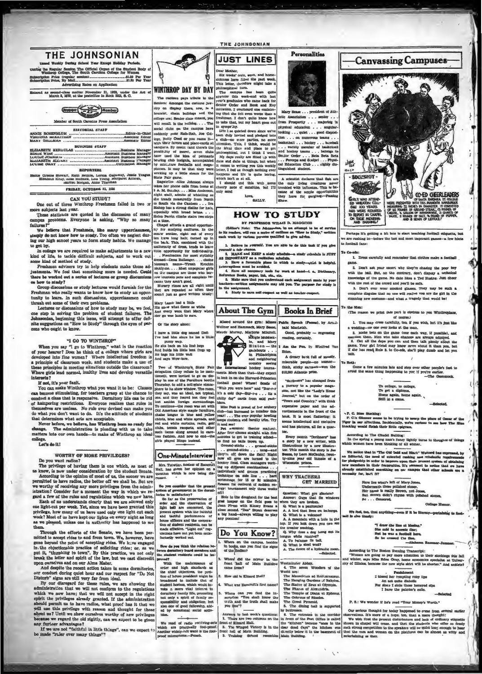

tunity to kenn. In such discussions, upperciassmen could<br>thrash out some of their own problems.<br>Lectures or discussions of how to study may be, we feel,<br>one stap in solving the problem of student failures. The<br>Johnsonian,

**IE ROBENE**<br>UINIA MCK<br>U GALLMA

to get by.

ow to sindy?

## WORTHY OF MORE PRIVILEGES?

Do you want re

as before the primary can be consideration by the student Senate.<br>According to the opinion of most of us, the sooner we are<br>permitted to have radios, the better off we shall be. But are

as we pleased, unless one in authority has happened to see the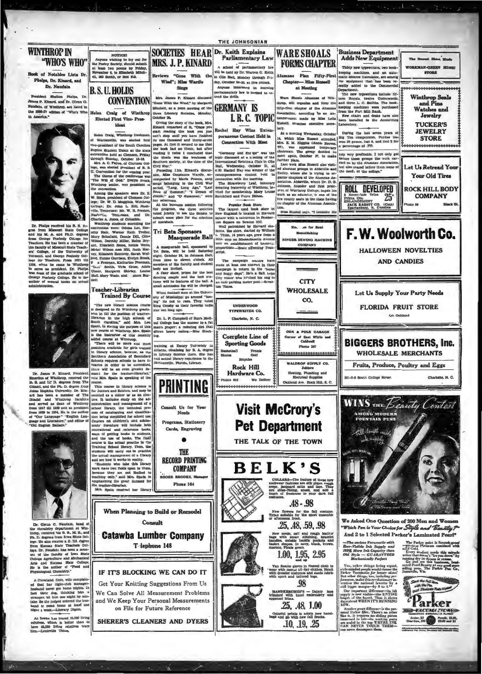